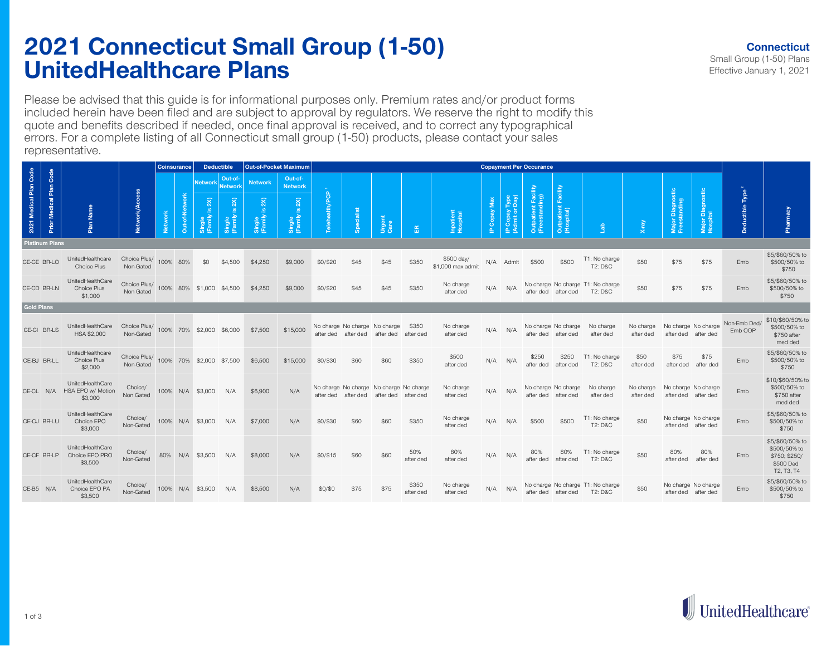## **2021 Connecticut Small Group (1-50) UnitedHealthcare Plans**

Please be advised that this guide is for informational purposes only. Premium rates and/or product forms included herein have been filed and are subject to approval by regulators. We reserve the right to modify this quote and benefits described if needed, once final approval is received, and to correct any typographical errors. For a complete listing of all Connecticut small group (1-50) products, please contact your sales representative.

|                        |                         |                                                  |                                                    | <b>Coinsurance</b> |           | <b>Deductible</b>        |                           | <b>Out-of-Pocket Maximum</b> |                                                              | <b>Copayment Per Occurance</b> |                                  |                                  |                    |                                 |              |                                 |                                       |                                       |                                                         |                        |                                            |                              |                              |                                                                             |
|------------------------|-------------------------|--------------------------------------------------|----------------------------------------------------|--------------------|-----------|--------------------------|---------------------------|------------------------------|--------------------------------------------------------------|--------------------------------|----------------------------------|----------------------------------|--------------------|---------------------------------|--------------|---------------------------------|---------------------------------------|---------------------------------------|---------------------------------------------------------|------------------------|--------------------------------------------|------------------------------|------------------------------|-----------------------------------------------------------------------------|
| 2021 Medical Plan Code |                         | Name<br>Plan                                     |                                                    |                    |           | <b>Network</b>           | Out-of-<br><b>Network</b> | <b>Network</b>               | Out-of-<br><b>Network</b>                                    |                                |                                  |                                  |                    |                                 |              |                                 |                                       | ₫<br>Faci<br>Outpatient<br>(Hospital) | Lab                                                     |                        |                                            |                              |                              |                                                                             |
|                        | Prior Medical Plan Code |                                                  | Network/                                           | <b>Network</b>     | Out-of-Ne | 2X<br>Single<br>(Family  | Single<br>(Family         | 2X<br>ு<br>Single<br>(Family | ealth/PCP<br>2X<br>$\underline{\omega}$<br>Single<br>(Family |                                |                                  | Urgent<br>Care                   | 岛                  | Inpatient<br>Hospital           | IP Copay Max | IP Copay Type<br>(Admit or Day) | Outpatient Facility<br>(Freestanding) |                                       |                                                         |                        | Diagnostic<br>tanding<br>Major<br>Freest   | Major Diagnostic<br>Hospital | Deductible Type <sup>2</sup> | Pharmacy                                                                    |
| <b>Platinum Plans</b>  |                         |                                                  |                                                    |                    |           |                          |                           |                              |                                                              |                                |                                  |                                  |                    |                                 |              |                                 |                                       |                                       |                                                         |                        |                                            |                              |                              |                                                                             |
|                        | CE-CE BR-LO             | UnitedHealthcare<br>Choice Plus                  | Choice Plus/ 100% 80%<br>Non-Gated                 |                    |           | \$0                      | \$4,500                   | \$4,250                      | \$9,000                                                      | \$0/\$20                       | \$45                             | \$45                             | \$350              | \$500 day/<br>\$1,000 max admit |              | N/A Admit                       | \$500                                 | \$500                                 | T1: No charge<br><b>T2: D&amp;C</b>                     | \$50                   | \$75                                       | \$75                         | Emb                          | \$5/\$60/50% to<br>\$500/50% to<br>\$750                                    |
| CE-CD BR-LN            |                         | UnitedHealthCare<br>Choice Plus<br>\$1,000       | Choice Plus/<br>Non Gated                          |                    |           | 100% 80% \$1,000 \$4,500 |                           | \$4,250                      | \$9,000                                                      | \$0/\$20                       | \$45                             | \$45                             | \$350              | No charge<br>after ded          |              | $N/A$ $N/A$                     |                                       | after ded after ded                   | No charge No charge T1: No charge<br><b>T2: D&amp;C</b> | \$50                   | \$75                                       | \$75                         | Emb                          | \$5/\$60/50% to<br>\$500/50% to<br>\$750                                    |
| <b>Gold Plans</b>      |                         |                                                  |                                                    |                    |           |                          |                           |                              |                                                              |                                |                                  |                                  |                    |                                 |              |                                 |                                       |                                       |                                                         |                        |                                            |                              |                              |                                                                             |
| CE-CI BR-LS            |                         | UnitedHealthCare<br>HSA \$2,000                  | Choice Plus/<br>Non-Gated                          |                    |           | 100% 70% \$2,000 \$6,000 |                           | \$7,500                      | \$15,000                                                     | after ded                      | No charge No charge<br>after ded | No charge<br>after ded           | \$350<br>after ded | No charge<br>after ded          |              | $N/A$ $N/A$                     | No charge No charge<br>after ded      | after ded                             | No charge<br>after ded                                  | No charge<br>after ded | No charge No charge<br>after ded after ded |                              | Non-Emb Ded/<br>Emb OOP      | \$10/\$60/50% to<br>\$500/50% to<br>\$750 after<br>med ded                  |
| CE-BJ BR-LL            |                         | UnitedHealthcare<br>Choice Plus<br>\$2,000       | Choice Plus/ 100% 70% \$2,000 \$7,500<br>Non-Gated |                    |           |                          |                           | \$6,500                      | \$15,000                                                     | \$0/\$30                       | \$60                             | \$60                             | \$350              | \$500<br>after ded              |              | $N/A$ $N/A$                     | \$250<br>after ded                    | \$250<br>after ded                    | T1: No charge<br><b>T2: D&amp;C</b>                     | \$50<br>after ded      | \$75<br>after ded                          | \$75<br>after ded            | Emb                          | \$5/\$60/50% to<br>\$500/50% to<br>\$750                                    |
| CE-CL N/A              |                         | UnitedHealthCare<br>HSA EPO w/ Motion<br>\$3,000 | Choice/<br>Non Gated                               |                    |           | 100% N/A \$3,000         | N/A                       | \$6,900                      | N/A                                                          | after ded                      | No charge No charge<br>after ded | No charge No charge<br>after ded | after ded          | No charge<br>after ded          | N/A          | N/A                             | No charge No charge<br>after ded      | after ded                             | No charge<br>after ded                                  | No charge<br>after ded | No charge No charge<br>after ded after ded |                              | Emb                          | \$10/\$60/50% to<br>\$500/50% to<br>\$750 after<br>med ded                  |
| CE-CJ BR-LU            |                         | UnitedHealthCare<br>Choice EPO<br>\$3,000        | Choice/<br>Non-Gated                               |                    |           | 100% N/A \$3,000         | N/A                       | \$7,000                      | N/A                                                          | \$0/\$30                       | \$60                             | \$60                             | \$350              | No charge<br>after ded          | N/A          | N/A                             | \$500                                 | \$500                                 | T1: No charge<br>T2: D&C                                | \$50                   | No charge No charge<br>after ded after ded |                              | Emb                          | \$5/\$60/50% to<br>\$500/50% to<br>\$750                                    |
|                        | CE-CF BR-LP             | UnitedHealthCare<br>Choice EPO PRO<br>\$3,500    | Choice/<br>Non-Gated                               |                    |           | 80% N/A \$3,500          | N/A                       | \$8,000                      | N/A                                                          | \$0/\$15                       | \$60                             | \$60                             | 50%<br>after ded   | 80%<br>after ded                | N/A          | N/A                             | 80%<br>after ded                      | 80%<br>after ded                      | T1: No charge<br><b>T2: D&amp;C</b>                     | \$50                   | 80%<br>after ded                           | 80%<br>after ded             | Emb                          | \$5/\$60/50% to<br>\$500/50% to<br>\$750; \$250/<br>\$500 Ded<br>T2, T3, T4 |
| CE-B5 N/A              |                         | UnitedHealthCare<br>Choice EPO PA<br>\$3,500     | Choice/<br>Non-Gated                               |                    |           | 100% N/A \$3,500         | N/A                       | \$8,500                      | N/A                                                          | \$0/\$0                        | \$75                             | \$75                             | \$350<br>after ded | No charge<br>after ded          |              | $N/A$ $N/A$                     |                                       | after ded after ded                   | No charge No charge T1: No charge<br><b>T2: D&amp;C</b> | \$50                   | No charge No charge<br>after ded after ded |                              | Emb                          | \$5/\$60/50% to<br>\$500/50% to<br>\$750                                    |

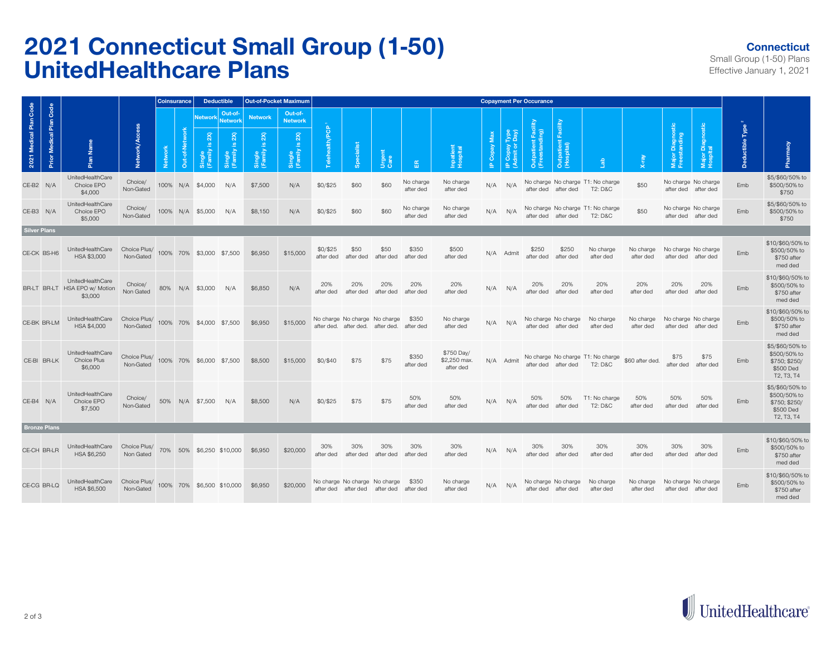## **2021 Connecticut Small Group (1-50) UnitedHealthcare Plans**

## **Connecticut**

Small Group (1-50) Plans Effective January 1, 2021

|                                                      |                                                              |                           | <b>Coinsurance</b><br><b>Deductible</b> |           |                          | <b>Out-of-Pocket Maximum</b> |                                                 | <b>Copayment Per Occurance</b>        |                       |                                             |                   |                        |                                         |              |                                        |                                       |                                        |                                                         |                        |                                            |                              |                           |                                                                             |
|------------------------------------------------------|--------------------------------------------------------------|---------------------------|-----------------------------------------|-----------|--------------------------|------------------------------|-------------------------------------------------|---------------------------------------|-----------------------|---------------------------------------------|-------------------|------------------------|-----------------------------------------|--------------|----------------------------------------|---------------------------------------|----------------------------------------|---------------------------------------------------------|------------------------|--------------------------------------------|------------------------------|---------------------------|-----------------------------------------------------------------------------|
|                                                      |                                                              |                           |                                         |           |                          | Out-of-<br>Network Network   | <b>Network</b>                                  | Out-of-<br><b>Network</b>             |                       |                                             |                   |                        |                                         |              |                                        |                                       |                                        |                                                         |                        |                                            |                              |                           |                                                                             |
| 2021 Medical Plan Code<br>Medical Plan Code<br>Prior | Plan Name                                                    | Network/Ac                | افعا<br>ح                               | Out-of-Ne | 2X<br>Single<br>(Family  | 2X<br>Single<br>[Family]     | 2X<br>$\underline{\omega}$<br>Single<br>(Family | 2X<br><u>_ v</u><br>Single<br>(Family | elehealth/PCP         |                                             | Urgent<br>Care    | 岳                      | Inpatient<br>Hospital                   | IP Copay Max | Type<br>(YBQ)<br>IP Copay<br>(Admit or | Outpatient Facility<br>(Freestanding) | Facility<br>Outpatient I<br>(Hospital) | $rac{a}{b}$                                             |                        | Major Diagnostic<br>Freestanding           | Major Diagnostic<br>Hospital | Type<br><b>Deductible</b> | Pharmacy                                                                    |
| CE-B2 N/A                                            | UnitedHealthCare<br>Choice EPO<br>\$4,000                    | Choice/<br>Non-Gated      |                                         |           | 100% N/A \$4,000         | N/A                          | \$7,500                                         | N/A                                   | \$0/\$25              | \$60                                        | \$60              | No charge<br>after ded | No charge<br>after ded                  |              | $N/A$ $N/A$                            |                                       | after ded after ded                    | No charge No charge T1: No charge<br><b>T2: D&amp;C</b> | \$50                   | No charge No charge<br>after ded after ded |                              | Emb                       | \$5/\$60/50% to<br>\$500/50% to<br>\$750                                    |
| CE-B3 N/A                                            | UnitedHealthCare<br>Choice EPO<br>\$5,000                    | Choice/<br>Non-Gated      |                                         |           | 100% N/A \$5,000         | N/A                          | \$8,150                                         | N/A                                   | \$0/\$25              | \$60                                        | \$60              | No charge<br>after ded | No charge<br>after ded                  | N/A          | N/A                                    |                                       | after ded after ded                    | No charge No charge T1: No charge<br>T2: D&C            | \$50                   | No charge No charge<br>after ded after ded |                              | Emb                       | \$5/\$60/50% to<br>\$500/50% to<br>\$750                                    |
| <b>Silver Plans</b>                                  |                                                              |                           |                                         |           |                          |                              |                                                 |                                       |                       |                                             |                   |                        |                                         |              |                                        |                                       |                                        |                                                         |                        |                                            |                              |                           |                                                                             |
| CE-CK BS-H6                                          | UnitedHealthCare<br>HSA \$3,000                              | Choice Plus/<br>Non-Gated |                                         |           | 100% 70% \$3,000 \$7,500 |                              | \$6,950                                         | \$15,000                              | \$0/\$25<br>after ded | \$50<br>after ded                           | \$50<br>after ded | \$350<br>after ded     | \$500<br>after ded                      |              | N/A Admit                              | \$250<br>after ded                    | \$250<br>after ded                     | No charge<br>after ded                                  | No charge<br>after ded | No charge No charge<br>after ded after ded |                              | Emb                       | \$10/\$60/50% to<br>\$500/50% to<br>\$750 after<br>med ded                  |
|                                                      | UnitedHealthCare<br>BR-LT BR-LT HSA EPO w/ Motion<br>\$3,000 | Choice/<br>Non Gated      |                                         |           | 80% N/A \$3,000          | N/A                          | \$6,850                                         | N/A                                   | 20%<br>after ded      | 20%<br>after ded                            | 20%<br>after ded  | 20%<br>after ded       | 20%<br>after ded                        | N/A          | N/A                                    | 20%<br>after ded                      | 20%<br>after ded                       | 20%<br>after ded                                        | 20%<br>after ded       | 20%<br>after ded                           | 20%<br>after ded             | Emb                       | \$10/\$60/50% to<br>\$500/50% to<br>\$750 after<br>med ded                  |
| CE-BK BR-LM                                          | UnitedHealthCare<br>HSA \$4,000                              | Choice Plus/<br>Non-Gated |                                         |           | 100% 70% \$4,000 \$7,500 |                              | \$6,950                                         | \$15,000                              | after ded.            | No charge No charge No charge<br>after ded. |                   | \$350<br>after ded     | No charge<br>after ded                  |              | $N/A$ $N/A$                            | after ded                             | No charge No charge<br>after ded       | No charge<br>after ded                                  | No charge<br>after ded | No charge No charge                        | after ded after ded          | Emb                       | \$10/\$60/50% to<br>\$500/50% to<br>\$750 after<br>med ded                  |
| CE-BI BR-LK                                          | UnitedHealthCare<br>Choice Plus<br>\$6,000                   | Choice Plus/<br>Non-Gated |                                         |           | 100% 70% \$6,000 \$7,500 |                              | \$8,500                                         | \$15,000                              | \$0/\$40              | \$75                                        | \$75              | \$350<br>after ded     | \$750 Day/<br>\$2,250 max.<br>after ded |              | N/A Admit                              | after ded                             | after ded                              | No charge No charge T1: No charge<br><b>T2: D&amp;C</b> | \$60 after ded.        | \$75<br>after ded                          | \$75<br>after ded            | Emb                       | \$5/\$60/50% to<br>\$500/50% to<br>\$750; \$250/<br>\$500 Ded<br>T2, T3, T4 |
| CE-B4 N/A                                            | UnitedHealthCare<br>Choice EPO<br>\$7,500                    | Choice/<br>Non-Gated      |                                         |           | 50% N/A \$7,500          | N/A                          | \$8,500                                         | N/A                                   | \$0/\$25              | \$75                                        | \$75              | 50%<br>after ded       | 50%<br>after ded                        |              | $N/A$ $N/A$                            | 50%<br>after ded                      | 50%<br>after ded                       | T1: No charge<br><b>T2: D&amp;C</b>                     | 50%<br>after ded       | 50%<br>after ded                           | 50%<br>after ded             | Emb                       | \$5/\$60/50% to<br>\$500/50% to<br>\$750; \$250/<br>\$500 Ded<br>T2, T3, T4 |
| <b>Bronze Plans</b>                                  |                                                              |                           |                                         |           |                          |                              |                                                 |                                       |                       |                                             |                   |                        |                                         |              |                                        |                                       |                                        |                                                         |                        |                                            |                              |                           |                                                                             |
| CE-CH BR-LR                                          | UnitedHealthCare<br>HSA \$6,250                              | Choice Plus/<br>Non Gated |                                         |           |                          | 70% 50% \$6,250 \$10,000     | \$6,950                                         | \$20,000                              | 30%<br>after ded      | 30%<br>after ded                            | 30%<br>after ded  | 30%<br>after ded       | 30%<br>after ded                        | N/A          | N/A                                    | 30%<br>after ded                      | 30%<br>after ded                       | 30%<br>after ded                                        | 30%<br>after ded       | 30%<br>after ded                           | 30%<br>after ded             | Emb                       | \$10/\$60/50% to<br>\$500/50% to<br>\$750 after<br>med ded                  |
| CE-CG BR-LQ                                          | UnitedHealthCare<br>HSA \$6,500                              | Choice Plus/<br>Non-Gated |                                         |           |                          | 100% 70% \$6,500 \$10,000    | \$6,950                                         | \$20,000                              | after ded             | No charge No charge No charge<br>after ded  | after ded         | \$350<br>after ded     | No charge<br>after ded                  | N/A          | N/A                                    | after ded                             | No charge No charge<br>after ded       | No charge<br>after ded                                  | No charge<br>after ded | No charge No charge<br>after ded           | after ded                    | Emb                       | \$10/\$60/50% to<br>\$500/50% to<br>\$750 after<br>med ded                  |